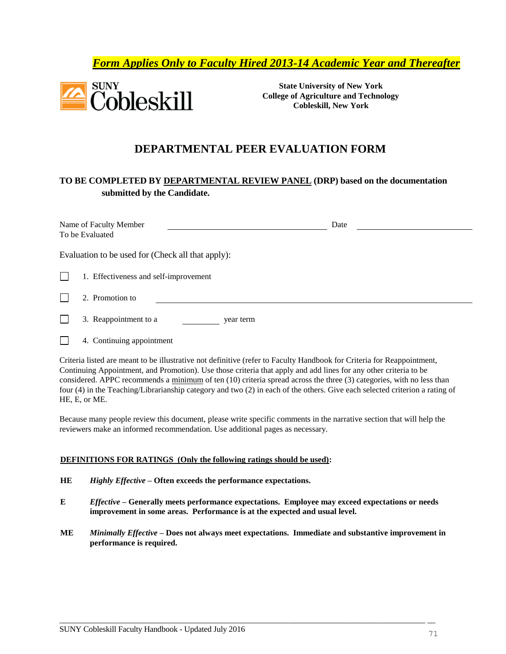## *Form Applies Only to Faculty Hired 2013-14 Academic Year and Thereafter*



**State University of New York College of Agriculture and Technology Cobleskill, New York**

## **DEPARTMENTAL PEER EVALUATION FORM**

### **TO BE COMPLETED BY DEPARTMENTAL REVIEW PANEL (DRP) based on the documentation submitted by the Candidate.**

|              | Name of Faculty Member<br>To be Evaluated         | Date |
|--------------|---------------------------------------------------|------|
|              | Evaluation to be used for (Check all that apply): |      |
| $\mathsf{l}$ | 1. Effectiveness and self-improvement             |      |
|              | 2. Promotion to                                   |      |
|              | 3. Reappointment to a<br>year term                |      |

П 4. Continuing appointment

Criteria listed are meant to be illustrative not definitive (refer to Faculty Handbook for Criteria for Reappointment, Continuing Appointment, and Promotion). Use those criteria that apply and add lines for any other criteria to be considered. APPC recommends a minimum of ten (10) criteria spread across the three (3) categories, with no less than four (4) in the Teaching/Librarianship category and two (2) in each of the others. Give each selected criterion a rating of HE, E, or ME.

Because many people review this document, please write specific comments in the narrative section that will help the reviewers make an informed recommendation. Use additional pages as necessary.

#### **DEFINITIONS FOR RATINGS (Only the following ratings should be used):**

- **HE** *Highly Effective* **– Often exceeds the performance expectations.**
- **E** *Effective* **– Generally meets performance expectations. Employee may exceed expectations or needs improvement in some areas. Performance is at the expected and usual level.**
- **ME** *Minimally Effective* **– Does not always meet expectations. Immediate and substantive improvement in performance is required.**

 $\overline{\phantom{a}}$  , and the contribution of the contribution of the contribution of the contribution of the contribution of the contribution of the contribution of the contribution of the contribution of the contribution of the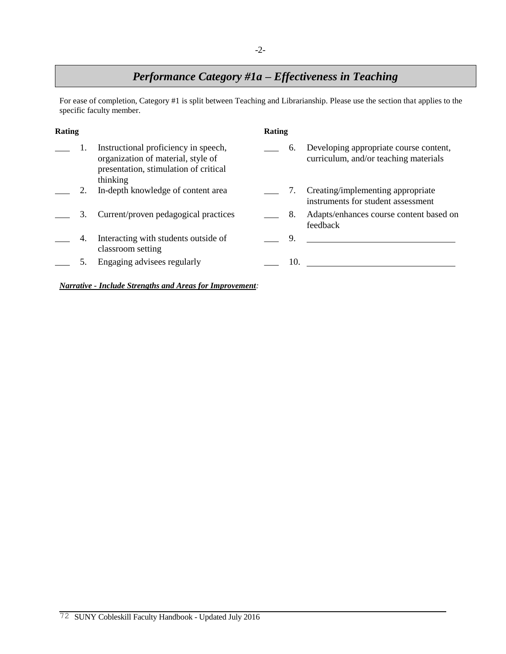# *Performance Category #1a – Effectiveness in Teaching*

For ease of completion, Category #1 is split between Teaching and Librarianship. Please use the section that applies to the specific faculty member.

| Rating |    |                                                                                                                                 | Rating |     |                                                                                 |  |
|--------|----|---------------------------------------------------------------------------------------------------------------------------------|--------|-----|---------------------------------------------------------------------------------|--|
|        |    | Instructional proficiency in speech,<br>organization of material, style of<br>presentation, stimulation of critical<br>thinking |        | 6.  | Developing appropriate course content,<br>curriculum, and/or teaching materials |  |
|        |    | In-depth knowledge of content area                                                                                              |        | 7.  | Creating/implementing appropriate<br>instruments for student assessment         |  |
|        | 3. | Current/proven pedagogical practices                                                                                            |        | 8.  | Adapts/enhances course content based on<br>feedback                             |  |
|        | 4. | Interacting with students outside of<br>classroom setting                                                                       |        | 9.  |                                                                                 |  |
|        |    | Engaging advisees regularly                                                                                                     |        | 10. |                                                                                 |  |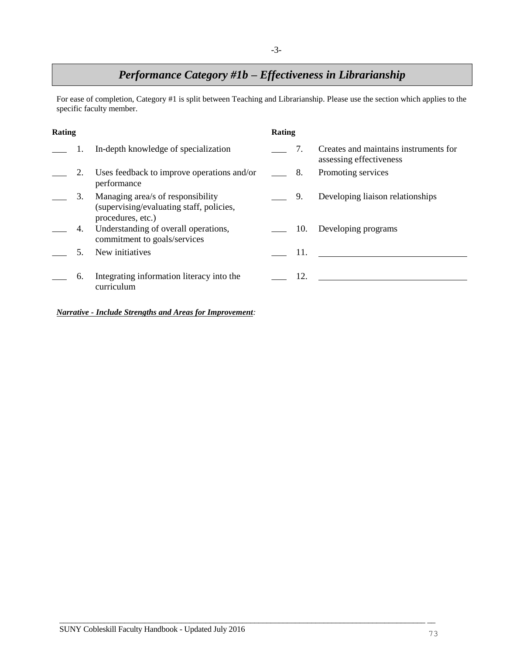# *Performance Category #1b – Effectiveness in Librarianship*

For ease of completion, Category #1 is split between Teaching and Librarianship. Please use the section which applies to the specific faculty member.

| Rating |    |                                                                                                    | Rating      |     |                                                                  |  |
|--------|----|----------------------------------------------------------------------------------------------------|-------------|-----|------------------------------------------------------------------|--|
|        |    | In-depth knowledge of specialization                                                               |             | 7.  | Creates and maintains instruments for<br>assessing effectiveness |  |
|        | 2. | Uses feedback to improve operations and/or<br>performance                                          | $\equiv$ 8. |     | Promoting services                                               |  |
|        | 3. | Managing area/s of responsibility<br>(supervising/evaluating staff, policies,<br>procedures, etc.) |             | 9.  | Developing liaison relationships                                 |  |
|        | 4. | Understanding of overall operations,<br>commitment to goals/services                               |             | 10. | Developing programs                                              |  |
|        |    | New initiatives                                                                                    |             | 11. |                                                                  |  |
|        | 6. | Integrating information literacy into the<br>curriculum                                            |             | 12. |                                                                  |  |

 $\overline{\phantom{a}}$  , and the contribution of the contribution of the contribution of the contribution of the contribution of the contribution of the contribution of the contribution of the contribution of the contribution of the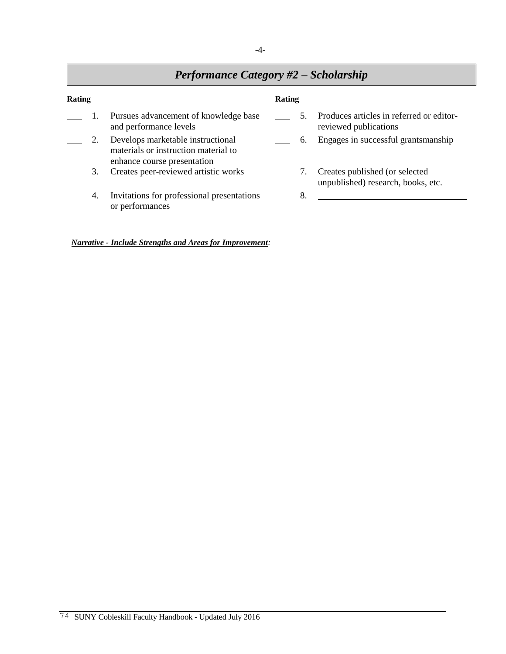### -4-

# *Performance Category #2 – Scholarship*

| Rating |    |                                                                                                          | Rating |    |                                                                      |  |
|--------|----|----------------------------------------------------------------------------------------------------------|--------|----|----------------------------------------------------------------------|--|
|        |    | Pursues advancement of knowledge base<br>and performance levels                                          |        |    | Produces articles in referred or editor-<br>reviewed publications    |  |
|        | 2. | Develops marketable instructional<br>materials or instruction material to<br>enhance course presentation |        | 6. | Engages in successful grantsmanship                                  |  |
|        | 3. | Creates peer-reviewed artistic works                                                                     |        | 7. | Creates published (or selected<br>unpublished) research, books, etc. |  |
|        | 4. | Invitations for professional presentations<br>or performances                                            |        | 8. |                                                                      |  |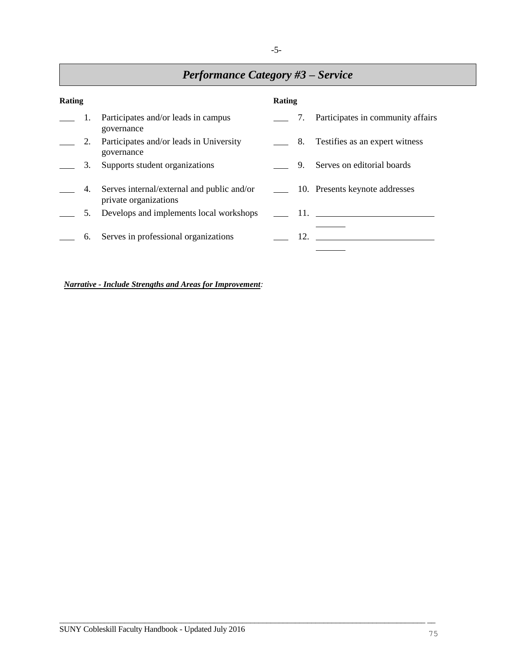# *Performance Category #3 – Service*

| Rating |    |                                                                     | Rating     |    |                                      |
|--------|----|---------------------------------------------------------------------|------------|----|--------------------------------------|
|        | 1. | Participates and/or leads in campus<br>governance                   |            |    | 7. Participates in community affairs |
|        | 2. | Participates and/or leads in University<br>governance               | $\_\_\$ 8. |    | Testifies as an expert witness       |
|        | 3. | Supports student organizations                                      |            | 9. | Serves on editorial boards           |
|        | 4. | Serves internal/external and public and/or<br>private organizations |            |    | 10. Presents keynote addresses       |
|        | 5. | Develops and implements local workshops                             |            |    | 11.                                  |
|        | 6. | Serves in professional organizations                                |            |    |                                      |

 $\overline{\phantom{a}}$  , and the contribution of the contribution of the contribution of the contribution of the contribution of the contribution of the contribution of the contribution of the contribution of the contribution of the